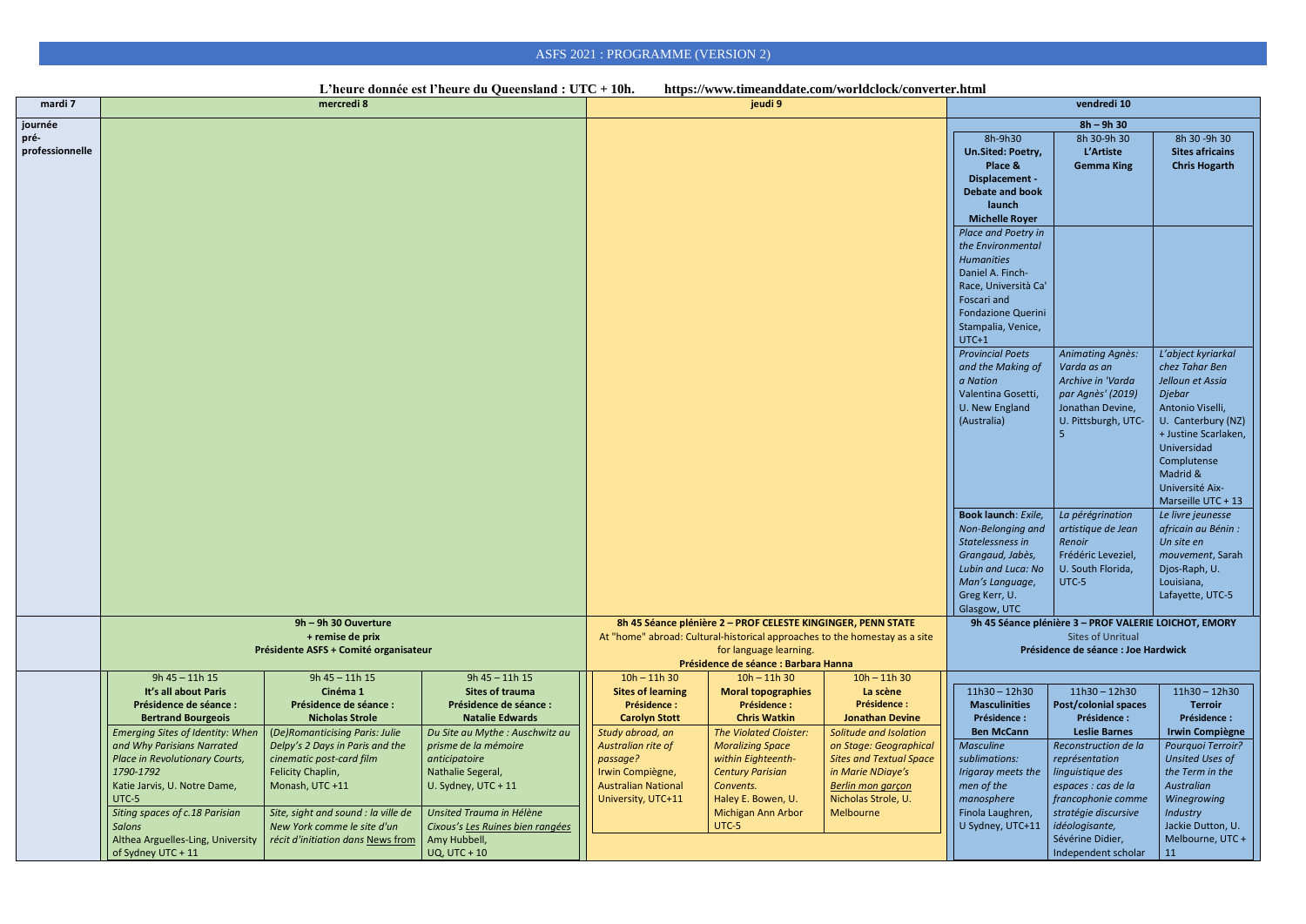|                                    |                                                                                                                                                                                                                       |                                                                                                                                                                                                        | L'heure donnée est l'heure du Queensland : UTC + 10h.                                                                                                                                           |                                                                                                                                                                                                              |                                                                                                                                                                                                 | https://www.timeanddate.com/worldclock/converter.html                                                                                                                           |                                                                                                                                                                                                                                                                                                |                                                                                                                                                                                                                                     |                                                                                                                                                                                                                                                                                                                                                          |
|------------------------------------|-----------------------------------------------------------------------------------------------------------------------------------------------------------------------------------------------------------------------|--------------------------------------------------------------------------------------------------------------------------------------------------------------------------------------------------------|-------------------------------------------------------------------------------------------------------------------------------------------------------------------------------------------------|--------------------------------------------------------------------------------------------------------------------------------------------------------------------------------------------------------------|-------------------------------------------------------------------------------------------------------------------------------------------------------------------------------------------------|---------------------------------------------------------------------------------------------------------------------------------------------------------------------------------|------------------------------------------------------------------------------------------------------------------------------------------------------------------------------------------------------------------------------------------------------------------------------------------------|-------------------------------------------------------------------------------------------------------------------------------------------------------------------------------------------------------------------------------------|----------------------------------------------------------------------------------------------------------------------------------------------------------------------------------------------------------------------------------------------------------------------------------------------------------------------------------------------------------|
| mardi 7                            |                                                                                                                                                                                                                       | mercredi 8                                                                                                                                                                                             |                                                                                                                                                                                                 |                                                                                                                                                                                                              | jeudi 9                                                                                                                                                                                         |                                                                                                                                                                                 |                                                                                                                                                                                                                                                                                                | vendredi 10                                                                                                                                                                                                                         |                                                                                                                                                                                                                                                                                                                                                          |
| journée<br>pré-<br>professionnelle |                                                                                                                                                                                                                       |                                                                                                                                                                                                        |                                                                                                                                                                                                 |                                                                                                                                                                                                              |                                                                                                                                                                                                 |                                                                                                                                                                                 | 8h-9h30<br>Un.Sited: Poetry,<br>Place &<br>Displacement -<br><b>Debate and book</b><br>launch<br><b>Michelle Royer</b><br>Place and Poetry in<br>the Environmental<br><b>Humanities</b><br>Daniel A. Finch-<br>Race, Università Ca'<br>Foscari and<br>Fondazione Querini<br>Stampalia, Venice, | $8h - 9h 30$<br>8h 30-9h 30<br>L'Artiste<br><b>Gemma King</b>                                                                                                                                                                       | 8h 30 - 9h 30<br><b>Sites africains</b><br><b>Chris Hogarth</b>                                                                                                                                                                                                                                                                                          |
|                                    |                                                                                                                                                                                                                       |                                                                                                                                                                                                        |                                                                                                                                                                                                 |                                                                                                                                                                                                              |                                                                                                                                                                                                 |                                                                                                                                                                                 | $UTC+1$<br><b>Provincial Poets</b><br>and the Making of<br>a Nation<br>Valentina Gosetti,<br>U. New England<br>(Australia)<br>Book launch: Exile,<br>Non-Belonging and<br>Statelessness in<br>Grangaud, Jabès,<br>Lubin and Luca: No<br>Man's Language,<br>Greg Kerr, U.<br>Glasgow, UTC       | <b>Animating Agnès:</b><br>Varda as an<br>Archive in 'Varda<br>par Agnès' (2019)<br>Jonathan Devine,<br>U. Pittsburgh, UTC-<br>La pérégrination<br>artistique de Jean<br>Renoir<br>Frédéric Leveziel,<br>U. South Florida,<br>UTC-5 | L'abject kyriarkal<br>chez Tahar Ben<br>Jelloun et Assia<br>Djebar<br>Antonio Viselli,<br>U. Canterbury (NZ)<br>+ Justine Scarlaken,<br>Universidad<br>Complutense<br>Madrid &<br>Université Aix-<br>Marseille UTC + 13<br>Le livre jeunesse<br>africain au Bénin :<br>Un site en<br>mouvement, Sarah<br>Djos-Raph, U.<br>Louisiana,<br>Lafayette, UTC-5 |
|                                    | 9h - 9h 30 Ouverture<br>+ remise de prix<br>Présidente ASFS + Comité organisateur                                                                                                                                     |                                                                                                                                                                                                        |                                                                                                                                                                                                 | 8h 45 Séance plénière 2 - PROF CELESTE KINGINGER, PENN STATE<br>At "home" abroad: Cultural-historical approaches to the homestay as a site<br>for language learning.<br>Présidence de séance : Barbara Hanna |                                                                                                                                                                                                 |                                                                                                                                                                                 | 9h 45 Séance plénière 3 - PROF VALERIE LOICHOT, EMORY<br><b>Sites of Unritual</b><br>Présidence de séance : Joe Hardwick                                                                                                                                                                       |                                                                                                                                                                                                                                     |                                                                                                                                                                                                                                                                                                                                                          |
|                                    | 9h 45 - 11h 15<br>It's all about Paris<br>Présidence de séance :<br><b>Bertrand Bourgeois</b><br><b>Emerging Sites of Identity: When</b><br>and Why Parisians Narrated<br>Place in Revolutionary Courts,<br>1790-1792 | $9h 45 - 11h 15$<br>Cinéma 1<br>Présidence de séance :<br><b>Nicholas Strole</b><br>(De)Romanticising Paris: Julie<br>Delpy's 2 Days in Paris and the<br>cinematic post-card film<br>Felicity Chaplin, | $9h 45 - 11h 15$<br><b>Sites of trauma</b><br>Présidence de séance :<br><b>Natalie Edwards</b><br>Du Site au Mythe : Auschwitz au<br>prisme de la mémoire<br>anticipatoire<br>Nathalie Segeral, | $10h - 11h 30$<br><b>Sites of learning</b><br>Présidence :<br><b>Carolyn Stott</b><br>Study abroad, an<br>Australian rite of<br>passage?<br>Irwin Compiègne,                                                 | $10h - 11h$ 30<br><b>Moral topographies</b><br>Présidence :<br><b>Chris Watkin</b><br><b>The Violated Cloister:</b><br><b>Moralizing Space</b><br>within Eighteenth-<br><b>Century Parisian</b> | $10h - 11h 30$<br>La scène<br>Présidence :<br><b>Jonathan Devine</b><br>Solitude and Isolation<br>on Stage: Geographical<br><b>Sites and Textual Space</b><br>in Marie NDiaye's | $11h30 - 12h30$<br><b>Masculinities</b><br>Présidence :<br><b>Ben McCann</b><br><b>Masculine</b><br>sublimations:<br>Irigaray meets the                                                                                                                                                        | $11h30 - 12h30$<br><b>Post/colonial spaces</b><br>Présidence :<br><b>Leslie Barnes</b><br>Reconstruction de la<br>représentation<br>linguistique des                                                                                | $11h30 - 12h30$<br><b>Terroir</b><br>Présidence :<br><b>Irwin Compiègne</b><br>Pourquoi Terroir?<br><b>Unsited Uses of</b><br>the Term in the                                                                                                                                                                                                            |
|                                    | Katie Jarvis, U. Notre Dame,<br>UTC-5<br>Siting spaces of c.18 Parisian<br>Salons<br>Althea Arguelles-Ling, University<br>of Sydney UTC + 11                                                                          | Monash, UTC +11<br>Site, sight and sound : la ville de<br>New York comme le site d'un<br>récit d'initiation dans News from                                                                             | U. Sydney, UTC + 11<br>Unsited Trauma in Hélène<br>Cixous's Les Ruines bien rangées<br>Amy Hubbell,<br><b>UQ, UTC + 10</b>                                                                      | <b>Australian National</b><br>University, UTC+11                                                                                                                                                             | Convents.<br>Haley E. Bowen, U.<br>Michigan Ann Arbor<br>UTC-5                                                                                                                                  | Berlin mon garçon<br>Nicholas Strole, U.<br>Melbourne                                                                                                                           | men of the<br>manosphere<br>Finola Laughren,<br>U Sydney, UTC+11                                                                                                                                                                                                                               | espaces : cas de la<br>francophonie comme<br>stratégie discursive<br>idéologisante,<br>Sévérine Didier,<br>Independent scholar                                                                                                      | Australian<br>Winegrowing<br><b>Industry</b><br>Jackie Dutton, U.<br>Melbourne, UTC +<br>11                                                                                                                                                                                                                                                              |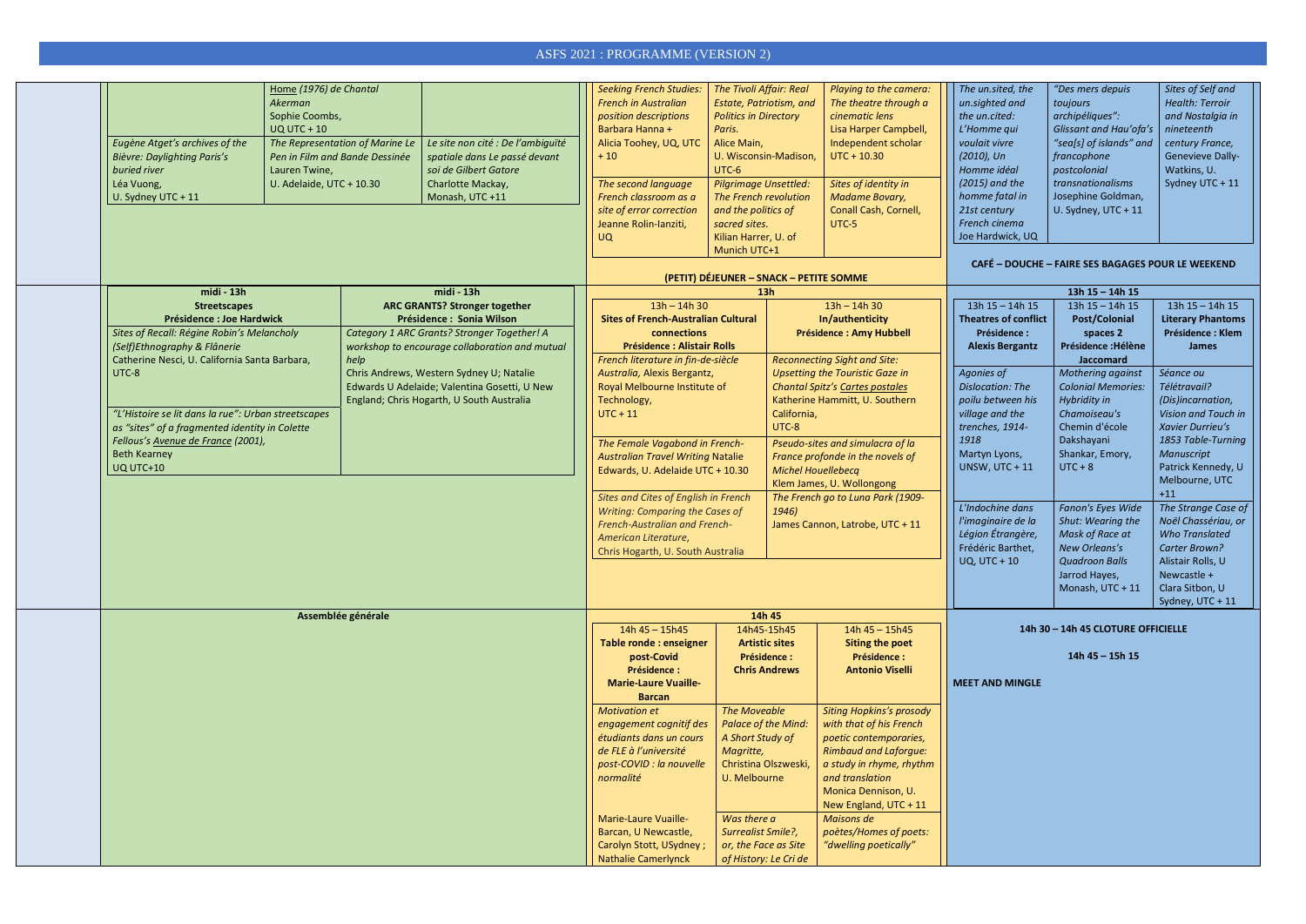| Eugène Atget's archives of the<br>Bièvre: Daylighting Paris's<br>buried river<br>Léa Vuong,<br>U. Sydney UTC + 11 | Home (1976) de Chantal<br>Akerman<br>Sophie Coombs,<br><b>UQ UTC + 10</b><br>Lauren Twine,<br>U. Adelaide, UTC + 10.30 | The Representation of Marine Le<br>Pen in Film and Bande Dessinée | Le site non cité : De l'ambiguïté<br>spatiale dans Le passé devant<br>soi de Gilbert Gatore<br>Charlotte Mackay,<br>Monash, UTC +11 | <b>Seeking French Studies:</b><br><b>French in Australian</b><br>position descriptions<br>Barbara Hanna +<br>Alicia Toohey, UQ, UTC<br>$+10$<br>The second language<br>French classroom as a<br>site of error correction<br>Jeanne Rolin-Ianziti,<br><b>UQ</b> | The Tivoli Affair: Real<br>Estate, Patriotism, and<br><b>Politics in Directory</b><br>Paris.<br>Alice Main,<br>U. Wisconsin-Madison,<br>UTC-6<br><b>Pilgrimage Unsettled:</b><br>The French revolution<br>and the politics of<br>sacred sites.<br>Kilian Harrer, U. of<br>Munich UTC+1 |                                                                | Playing to the camera:<br>The theatre through a<br>cinematic lens<br>Lisa Harper Campbell,<br>Independent scholar<br>$UTC + 10.30$<br>Sites of identity in<br><b>Madame Bovary,</b><br>Conall Cash, Cornell,<br>UTC-5 | The un.sited, the<br>un.sighted and<br>the un.cited:<br>L'Homme qui<br>voulait vivre<br>$(2010)$ , Un<br>Homme idéal<br>$(2015)$ and the<br>homme fatal in<br>21st century<br>French cinema<br>Joe Hardwick, UQ | "Des mers depuis<br>toujours<br>archipéliques":<br>Glissant and Hau'ofa's<br>"sea[s] of islands" and<br>francophone<br>postcolonial<br>transnationalisms<br>Josephine Goldman,<br>U. Sydney, UTC + 11 | Sites of Self and<br><b>Health: Terroir</b><br>and Nostalgia in<br>nineteenth<br>century France,<br>Genevieve Dally-<br>Watkins, U.<br>Sydney UTC + 11 |
|-------------------------------------------------------------------------------------------------------------------|------------------------------------------------------------------------------------------------------------------------|-------------------------------------------------------------------|-------------------------------------------------------------------------------------------------------------------------------------|----------------------------------------------------------------------------------------------------------------------------------------------------------------------------------------------------------------------------------------------------------------|----------------------------------------------------------------------------------------------------------------------------------------------------------------------------------------------------------------------------------------------------------------------------------------|----------------------------------------------------------------|-----------------------------------------------------------------------------------------------------------------------------------------------------------------------------------------------------------------------|-----------------------------------------------------------------------------------------------------------------------------------------------------------------------------------------------------------------|-------------------------------------------------------------------------------------------------------------------------------------------------------------------------------------------------------|--------------------------------------------------------------------------------------------------------------------------------------------------------|
|                                                                                                                   |                                                                                                                        |                                                                   |                                                                                                                                     |                                                                                                                                                                                                                                                                | (PETIT) DÉJEUNER - SNACK - PETITE SOMME                                                                                                                                                                                                                                                |                                                                |                                                                                                                                                                                                                       |                                                                                                                                                                                                                 | <b>CAFÉ - DOUCHE - FAIRE SES BAGAGES POUR LE WEEKEND</b>                                                                                                                                              |                                                                                                                                                        |
| midi - 13h                                                                                                        |                                                                                                                        |                                                                   | midi - 13h                                                                                                                          |                                                                                                                                                                                                                                                                |                                                                                                                                                                                                                                                                                        | 13h                                                            |                                                                                                                                                                                                                       |                                                                                                                                                                                                                 | 13h $15 - 14h$ 15                                                                                                                                                                                     |                                                                                                                                                        |
| <b>Streetscapes</b>                                                                                               |                                                                                                                        |                                                                   | <b>ARC GRANTS? Stronger together</b>                                                                                                | $13h - 14h 30$                                                                                                                                                                                                                                                 |                                                                                                                                                                                                                                                                                        |                                                                | $13h - 14h 30$                                                                                                                                                                                                        | $13h 15 - 14h 15$                                                                                                                                                                                               | $13h 15 - 14h 15$                                                                                                                                                                                     | $13h 15 - 14h 15$                                                                                                                                      |
| <b>Présidence : Joe Hardwick</b>                                                                                  |                                                                                                                        | Présidence : Sonia Wilson                                         |                                                                                                                                     | <b>Sites of French-Australian Cultural</b>                                                                                                                                                                                                                     |                                                                                                                                                                                                                                                                                        | In/authenticity                                                |                                                                                                                                                                                                                       | <b>Theatres of conflict</b>                                                                                                                                                                                     | <b>Post/Colonial</b>                                                                                                                                                                                  | <b>Literary Phantoms</b>                                                                                                                               |
| Sites of Recall: Régine Robin's Melancholy<br>(Self)Ethnography & Flânerie                                        |                                                                                                                        |                                                                   | Category 1 ARC Grants? Stronger Together! A<br>workshop to encourage collaboration and mutual                                       | connections<br><b>Présidence : Alistair Rolls</b>                                                                                                                                                                                                              |                                                                                                                                                                                                                                                                                        |                                                                | <b>Présidence : Amy Hubbell</b>                                                                                                                                                                                       | Présidence :<br><b>Alexis Bergantz</b>                                                                                                                                                                          | spaces 2<br>Présidence : Hélène                                                                                                                                                                       | Présidence : Klem<br><b>James</b>                                                                                                                      |
| Catherine Nesci, U. California Santa Barbara,                                                                     |                                                                                                                        | help                                                              |                                                                                                                                     |                                                                                                                                                                                                                                                                | <b>Reconnecting Sight and Site:</b><br>French literature in fin-de-siècle                                                                                                                                                                                                              |                                                                |                                                                                                                                                                                                                       |                                                                                                                                                                                                                 | <b>Jaccomard</b>                                                                                                                                                                                      |                                                                                                                                                        |
| UTC-8                                                                                                             |                                                                                                                        |                                                                   | Chris Andrews, Western Sydney U; Natalie                                                                                            | Australia, Alexis Bergantz,                                                                                                                                                                                                                                    |                                                                                                                                                                                                                                                                                        | <b>Upsetting the Touristic Gaze in</b>                         |                                                                                                                                                                                                                       | Agonies of                                                                                                                                                                                                      | Mothering against                                                                                                                                                                                     | Séance ou                                                                                                                                              |
|                                                                                                                   |                                                                                                                        |                                                                   | Edwards U Adelaide; Valentina Gosetti, U New                                                                                        | Royal Melbourne Institute of                                                                                                                                                                                                                                   |                                                                                                                                                                                                                                                                                        |                                                                | Chantal Spitz's Cartes postales                                                                                                                                                                                       | <b>Dislocation: The</b>                                                                                                                                                                                         | <b>Colonial Memories:</b>                                                                                                                                                                             | Télétravail?                                                                                                                                           |
| "L'Histoire se lit dans la rue": Urban streetscapes                                                               |                                                                                                                        |                                                                   | England; Chris Hogarth, U South Australia                                                                                           | Technology,<br>$UTC + 11$                                                                                                                                                                                                                                      |                                                                                                                                                                                                                                                                                        | California,                                                    | Katherine Hammitt, U. Southern                                                                                                                                                                                        | poilu between his<br>village and the                                                                                                                                                                            | Hybridity in<br>Chamoiseau's                                                                                                                                                                          | (Dis)incarnation,<br>Vision and Touch in                                                                                                               |
| as "sites" of a fragmented identity in Colette                                                                    |                                                                                                                        | UTC-8                                                             |                                                                                                                                     |                                                                                                                                                                                                                                                                |                                                                                                                                                                                                                                                                                        | trenches, 1914-                                                | Chemin d'école                                                                                                                                                                                                        | Xavier Durrieu's                                                                                                                                                                                                |                                                                                                                                                                                                       |                                                                                                                                                        |
| Fellous's Avenue de France (2001),                                                                                |                                                                                                                        |                                                                   | The Female Vagabond in French-                                                                                                      |                                                                                                                                                                                                                                                                | Pseudo-sites and simulacra of la                                                                                                                                                                                                                                                       | 1918                                                           | Dakshayani                                                                                                                                                                                                            | 1853 Table-Turning                                                                                                                                                                                              |                                                                                                                                                                                                       |                                                                                                                                                        |
| <b>Beth Kearney</b>                                                                                               |                                                                                                                        |                                                                   | France profonde in the novels of<br><b>Australian Travel Writing Natalie</b>                                                        |                                                                                                                                                                                                                                                                |                                                                                                                                                                                                                                                                                        | Martyn Lyons,                                                  | Shankar, Emory,                                                                                                                                                                                                       | Manuscript                                                                                                                                                                                                      |                                                                                                                                                                                                       |                                                                                                                                                        |
| UQ UTC+10                                                                                                         |                                                                                                                        | Edwards, U. Adelaide UTC + 10.30                                  |                                                                                                                                     | <b>Michel Houellebecq</b>                                                                                                                                                                                                                                      |                                                                                                                                                                                                                                                                                        | <b>UNSW, UTC + 11</b>                                          | $UTC + 8$                                                                                                                                                                                                             | Patrick Kennedy, U<br>Melbourne, UTC                                                                                                                                                                            |                                                                                                                                                                                                       |                                                                                                                                                        |
|                                                                                                                   |                                                                                                                        |                                                                   | Sites and Cites of English in French                                                                                                |                                                                                                                                                                                                                                                                |                                                                                                                                                                                                                                                                                        | Klem James, U. Wollongong<br>The French go to Luna Park (1909- |                                                                                                                                                                                                                       |                                                                                                                                                                                                                 | $+11$                                                                                                                                                                                                 |                                                                                                                                                        |
|                                                                                                                   |                                                                                                                        |                                                                   | Writing: Comparing the Cases of<br>1946)                                                                                            |                                                                                                                                                                                                                                                                |                                                                                                                                                                                                                                                                                        | L'Indochine dans                                               | Fanon's Eyes Wide                                                                                                                                                                                                     | The Strange Case of                                                                                                                                                                                             |                                                                                                                                                                                                       |                                                                                                                                                        |
|                                                                                                                   |                                                                                                                        | French-Australian and French-                                     |                                                                                                                                     |                                                                                                                                                                                                                                                                | James Cannon, Latrobe, UTC + 11                                                                                                                                                                                                                                                        | l'imaginaire de la<br>Légion Étrangère,                        | Shut: Wearing the<br>Mask of Race at                                                                                                                                                                                  | Noël Chassériau, or<br><b>Who Translated</b>                                                                                                                                                                    |                                                                                                                                                                                                       |                                                                                                                                                        |
|                                                                                                                   |                                                                                                                        | American Literature,                                              | Chris Hogarth, U. South Australia                                                                                                   |                                                                                                                                                                                                                                                                |                                                                                                                                                                                                                                                                                        | Frédéric Barthet,                                              | <b>New Orleans's</b>                                                                                                                                                                                                  | <b>Carter Brown?</b>                                                                                                                                                                                            |                                                                                                                                                                                                       |                                                                                                                                                        |
|                                                                                                                   |                                                                                                                        |                                                                   |                                                                                                                                     |                                                                                                                                                                                                                                                                |                                                                                                                                                                                                                                                                                        | <b>UQ, UTC + 10</b>                                            | <b>Quadroon Balls</b>                                                                                                                                                                                                 | Alistair Rolls, U                                                                                                                                                                                               |                                                                                                                                                                                                       |                                                                                                                                                        |
|                                                                                                                   |                                                                                                                        |                                                                   |                                                                                                                                     |                                                                                                                                                                                                                                                                |                                                                                                                                                                                                                                                                                        |                                                                |                                                                                                                                                                                                                       | Jarrod Hayes,                                                                                                                                                                                                   | Newcastle +                                                                                                                                                                                           |                                                                                                                                                        |
|                                                                                                                   |                                                                                                                        |                                                                   |                                                                                                                                     |                                                                                                                                                                                                                                                                |                                                                                                                                                                                                                                                                                        |                                                                |                                                                                                                                                                                                                       | Monash, UTC + 11                                                                                                                                                                                                | Clara Sitbon, U<br>Sydney, UTC + 11                                                                                                                                                                   |                                                                                                                                                        |
| Assemblée générale                                                                                                |                                                                                                                        |                                                                   | 14h 45                                                                                                                              |                                                                                                                                                                                                                                                                |                                                                                                                                                                                                                                                                                        |                                                                |                                                                                                                                                                                                                       |                                                                                                                                                                                                                 |                                                                                                                                                                                                       |                                                                                                                                                        |
|                                                                                                                   |                                                                                                                        |                                                                   |                                                                                                                                     | $14h 45 - 15h45$                                                                                                                                                                                                                                               |                                                                                                                                                                                                                                                                                        | 14h45-15h45                                                    | 14h 45 - 15h45                                                                                                                                                                                                        |                                                                                                                                                                                                                 | 14h 30 - 14h 45 CLOTURE OFFICIELLE                                                                                                                                                                    |                                                                                                                                                        |
|                                                                                                                   |                                                                                                                        |                                                                   | Table ronde : enseigner                                                                                                             | <b>Artistic sites</b><br><b>Présidence :</b>                                                                                                                                                                                                                   |                                                                                                                                                                                                                                                                                        | <b>Siting the poet</b>                                         |                                                                                                                                                                                                                       |                                                                                                                                                                                                                 |                                                                                                                                                                                                       |                                                                                                                                                        |
|                                                                                                                   |                                                                                                                        |                                                                   |                                                                                                                                     | post-Covid<br>Présidence :                                                                                                                                                                                                                                     |                                                                                                                                                                                                                                                                                        | <b>Chris Andrews</b>                                           | <b>Présidence :</b><br><b>Antonio Viselli</b>                                                                                                                                                                         |                                                                                                                                                                                                                 | 14h 45 - 15h 15                                                                                                                                                                                       |                                                                                                                                                        |
|                                                                                                                   |                                                                                                                        |                                                                   |                                                                                                                                     | <b>Marie-Laure Vuaille-</b>                                                                                                                                                                                                                                    |                                                                                                                                                                                                                                                                                        |                                                                |                                                                                                                                                                                                                       | <b>MEET AND MINGLE</b>                                                                                                                                                                                          |                                                                                                                                                                                                       |                                                                                                                                                        |
|                                                                                                                   |                                                                                                                        |                                                                   |                                                                                                                                     | <b>Barcan</b>                                                                                                                                                                                                                                                  |                                                                                                                                                                                                                                                                                        |                                                                |                                                                                                                                                                                                                       |                                                                                                                                                                                                                 |                                                                                                                                                                                                       |                                                                                                                                                        |
|                                                                                                                   |                                                                                                                        |                                                                   |                                                                                                                                     | <b>Motivation et</b>                                                                                                                                                                                                                                           | The Moveable                                                                                                                                                                                                                                                                           |                                                                | <b>Siting Hopkins's prosody</b>                                                                                                                                                                                       |                                                                                                                                                                                                                 |                                                                                                                                                                                                       |                                                                                                                                                        |
|                                                                                                                   |                                                                                                                        |                                                                   |                                                                                                                                     | engagement cognitif des<br>étudiants dans un cours                                                                                                                                                                                                             | Palace of the Mind:<br>A Short Study of                                                                                                                                                                                                                                                |                                                                | with that of his French<br>poetic contemporaries,                                                                                                                                                                     |                                                                                                                                                                                                                 |                                                                                                                                                                                                       |                                                                                                                                                        |
|                                                                                                                   |                                                                                                                        |                                                                   |                                                                                                                                     | de FLE à l'université                                                                                                                                                                                                                                          | Magritte,                                                                                                                                                                                                                                                                              |                                                                | <b>Rimbaud and Laforgue:</b>                                                                                                                                                                                          |                                                                                                                                                                                                                 |                                                                                                                                                                                                       |                                                                                                                                                        |
|                                                                                                                   |                                                                                                                        |                                                                   |                                                                                                                                     | post-COVID : la nouvelle                                                                                                                                                                                                                                       | Christina Olszweski,                                                                                                                                                                                                                                                                   |                                                                | a study in rhyme, rhythm                                                                                                                                                                                              |                                                                                                                                                                                                                 |                                                                                                                                                                                                       |                                                                                                                                                        |
|                                                                                                                   |                                                                                                                        |                                                                   |                                                                                                                                     | normalité                                                                                                                                                                                                                                                      | U. Melbourne                                                                                                                                                                                                                                                                           |                                                                | and translation<br>Monica Dennison, U.                                                                                                                                                                                |                                                                                                                                                                                                                 |                                                                                                                                                                                                       |                                                                                                                                                        |
|                                                                                                                   |                                                                                                                        |                                                                   |                                                                                                                                     |                                                                                                                                                                                                                                                                |                                                                                                                                                                                                                                                                                        |                                                                | New England, UTC + 11                                                                                                                                                                                                 |                                                                                                                                                                                                                 |                                                                                                                                                                                                       |                                                                                                                                                        |
|                                                                                                                   |                                                                                                                        |                                                                   |                                                                                                                                     | <b>Marie-Laure Vuaille-</b>                                                                                                                                                                                                                                    | Was there a                                                                                                                                                                                                                                                                            |                                                                | Maisons de                                                                                                                                                                                                            |                                                                                                                                                                                                                 |                                                                                                                                                                                                       |                                                                                                                                                        |
|                                                                                                                   |                                                                                                                        |                                                                   |                                                                                                                                     | Barcan, U Newcastle,                                                                                                                                                                                                                                           | Surrealist Smile?,                                                                                                                                                                                                                                                                     |                                                                | poètes/Homes of poets:                                                                                                                                                                                                |                                                                                                                                                                                                                 |                                                                                                                                                                                                       |                                                                                                                                                        |
|                                                                                                                   |                                                                                                                        | Carolyn Stott, USydney;                                           |                                                                                                                                     | or, the Face as Site                                                                                                                                                                                                                                           | "dwelling poetically"                                                                                                                                                                                                                                                                  |                                                                |                                                                                                                                                                                                                       |                                                                                                                                                                                                                 |                                                                                                                                                                                                       |                                                                                                                                                        |
|                                                                                                                   |                                                                                                                        |                                                                   | Nathalie Camerlynck                                                                                                                 |                                                                                                                                                                                                                                                                | of History: Le Cri de                                                                                                                                                                                                                                                                  |                                                                |                                                                                                                                                                                                                       |                                                                                                                                                                                                                 |                                                                                                                                                                                                       |                                                                                                                                                        |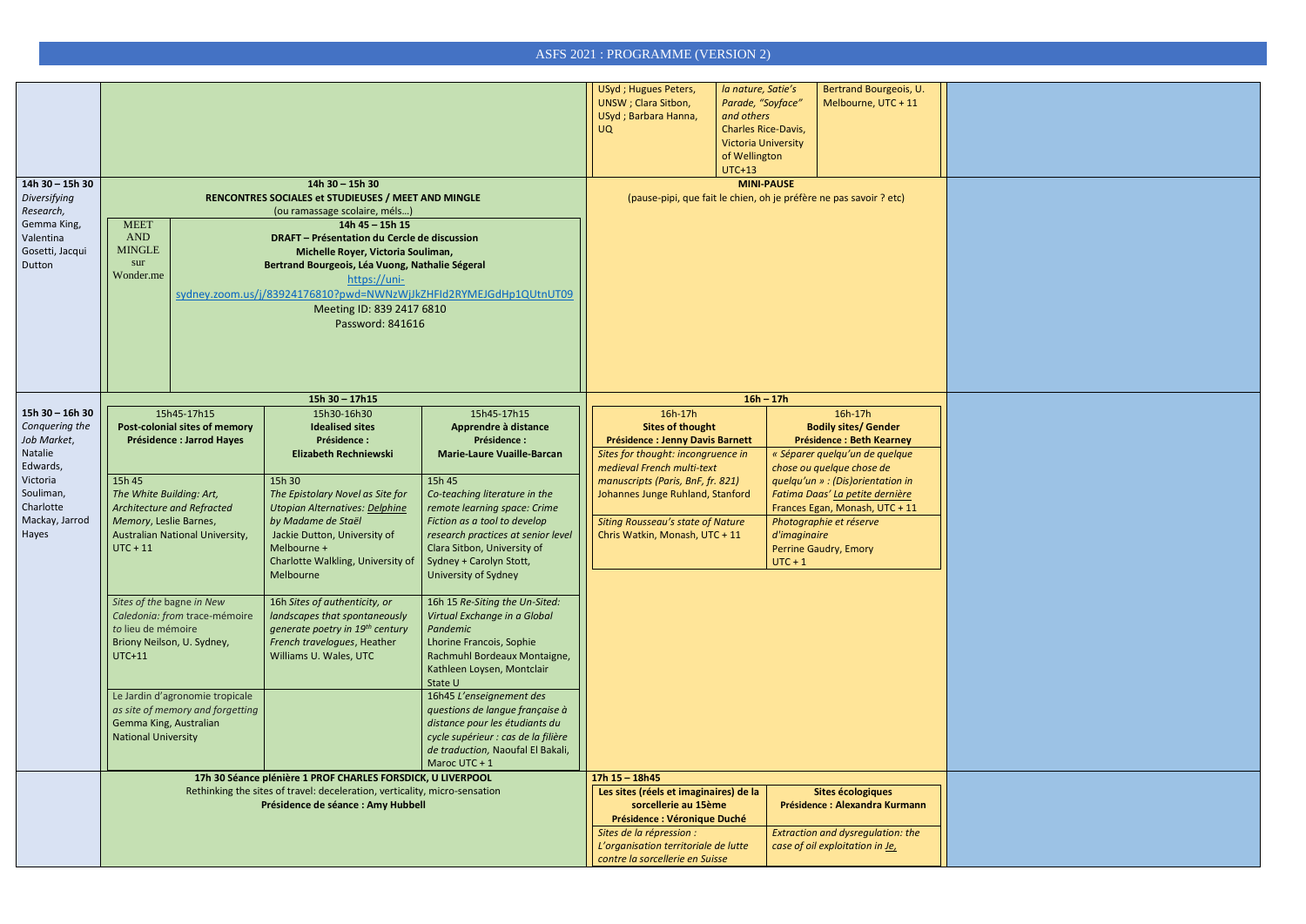|                                                                                                                                                                                              |                                                                                                                                           |                                  |                                                                                       |                                                                                                   | USyd; Hugues Peters,<br><b>UNSW</b> ; Clara Sitbon,<br>USyd; Barbara Hanna,<br><b>UQ</b>      | la nature, Satie's<br>Parade, "Soyface"<br>and others<br><b>Charles Rice-Davis,</b><br><b>Victoria University</b><br>of Wellington<br><b>UTC+13</b> | Bertrand Bourgeois, U.<br>Melbourne, UTC + 11                        |  |  |
|----------------------------------------------------------------------------------------------------------------------------------------------------------------------------------------------|-------------------------------------------------------------------------------------------------------------------------------------------|----------------------------------|---------------------------------------------------------------------------------------|---------------------------------------------------------------------------------------------------|-----------------------------------------------------------------------------------------------|-----------------------------------------------------------------------------------------------------------------------------------------------------|----------------------------------------------------------------------|--|--|
| 14h 30 - 15h 30                                                                                                                                                                              |                                                                                                                                           |                                  | $14h$ 30 - 15h 30                                                                     | <b>MINI-PAUSE</b>                                                                                 |                                                                                               |                                                                                                                                                     |                                                                      |  |  |
|                                                                                                                                                                                              |                                                                                                                                           |                                  | RENCONTRES SOCIALES et STUDIEUSES / MEET AND MINGLE<br>(ou ramassage scolaire, méls)  | (pause-pipi, que fait le chien, oh je préfère ne pas savoir ? etc)                                |                                                                                               |                                                                                                                                                     |                                                                      |  |  |
| Gemma King,                                                                                                                                                                                  | <b>MEET</b>                                                                                                                               |                                  | 14h 45 - 15h 15                                                                       |                                                                                                   |                                                                                               |                                                                                                                                                     |                                                                      |  |  |
|                                                                                                                                                                                              | <b>AND</b><br><b>MINGLE</b>                                                                                                               |                                  | DRAFT - Présentation du Cercle de discussion                                          |                                                                                                   |                                                                                               |                                                                                                                                                     |                                                                      |  |  |
| Dutton                                                                                                                                                                                       | sur                                                                                                                                       |                                  | Michelle Royer, Victoria Souliman,<br>Bertrand Bourgeois, Léa Vuong, Nathalie Ségeral |                                                                                                   |                                                                                               |                                                                                                                                                     |                                                                      |  |  |
|                                                                                                                                                                                              | Wonder.me                                                                                                                                 |                                  | https://uni-                                                                          |                                                                                                   |                                                                                               |                                                                                                                                                     |                                                                      |  |  |
|                                                                                                                                                                                              |                                                                                                                                           |                                  | sydney.zoom.us/j/83924176810?pwd=NWNzWjJkZHFId2RYMEJGdHp1QUtnUT09                     |                                                                                                   |                                                                                               |                                                                                                                                                     |                                                                      |  |  |
|                                                                                                                                                                                              |                                                                                                                                           |                                  | Meeting ID: 839 2417 6810<br>Password: 841616                                         |                                                                                                   |                                                                                               |                                                                                                                                                     |                                                                      |  |  |
|                                                                                                                                                                                              |                                                                                                                                           |                                  |                                                                                       |                                                                                                   |                                                                                               |                                                                                                                                                     |                                                                      |  |  |
|                                                                                                                                                                                              |                                                                                                                                           |                                  |                                                                                       |                                                                                                   |                                                                                               |                                                                                                                                                     |                                                                      |  |  |
|                                                                                                                                                                                              |                                                                                                                                           |                                  |                                                                                       |                                                                                                   |                                                                                               |                                                                                                                                                     |                                                                      |  |  |
|                                                                                                                                                                                              | 15h45-17h15<br>Post-colonial sites of memory                                                                                              |                                  | $15h$ 30 - 17h15                                                                      |                                                                                                   |                                                                                               | $16h - 17h$                                                                                                                                         |                                                                      |  |  |
| $15h 30 - 16h 30$                                                                                                                                                                            | 15h30-16h30                                                                                                                               |                                  |                                                                                       | 15h45-17h15                                                                                       | 16h-17h                                                                                       |                                                                                                                                                     | 16h-17h                                                              |  |  |
| Diversifying<br>Research,<br>Valentina<br>Gosetti, Jacqui<br>Conquering the<br>Job Market,<br>Natalie<br>Edwards,<br>Victoria<br>15h 45<br>Souliman,<br>Charlotte<br>Mackay, Jarrod<br>Hayes |                                                                                                                                           |                                  | <b>Idealised sites</b><br>Présidence :                                                | Apprendre à distance<br>Présidence :                                                              | <b>Sites of thought</b>                                                                       |                                                                                                                                                     | <b>Bodily sites/ Gender</b>                                          |  |  |
|                                                                                                                                                                                              |                                                                                                                                           | <b>Présidence : Jarrod Hayes</b> | <b>Elizabeth Rechniewski</b>                                                          | <b>Marie-Laure Vuaille-Barcan</b>                                                                 | <b>Présidence : Jenny Davis Barnett</b><br>Sites for thought: incongruence in                 |                                                                                                                                                     | <b>Présidence : Beth Kearney</b><br>« Séparer quelqu'un de quelque   |  |  |
|                                                                                                                                                                                              |                                                                                                                                           |                                  |                                                                                       |                                                                                                   | medieval French multi-text                                                                    |                                                                                                                                                     | chose ou quelque chose de                                            |  |  |
|                                                                                                                                                                                              | The White Building: Art,<br>Architecture and Refracted                                                                                    |                                  | 15h 30<br>The Epistolary Novel as Site for                                            | 15h 45<br>Co-teaching literature in the<br>remote learning space: Crime                           | manuscripts (Paris, BnF, fr. 821)<br>Johannes Junge Ruhland, Stanford                         |                                                                                                                                                     | quelqu'un » : (Dis)orientation in<br>Fatima Daas' La petite dernière |  |  |
|                                                                                                                                                                                              |                                                                                                                                           |                                  | <b>Utopian Alternatives: Delphine</b>                                                 |                                                                                                   |                                                                                               |                                                                                                                                                     | Frances Egan, Monash, UTC + 11                                       |  |  |
|                                                                                                                                                                                              | Memory, Leslie Barnes,                                                                                                                    |                                  | by Madame de Staël                                                                    | Fiction as a tool to develop<br>research practices at senior level<br>Clara Sitbon, University of | <b>Siting Rousseau's state of Nature</b>                                                      |                                                                                                                                                     | Photographie et réserve                                              |  |  |
|                                                                                                                                                                                              | $UTC + 11$                                                                                                                                | Australian National University,  | Jackie Dutton, University of<br>Melbourne +                                           |                                                                                                   | Chris Watkin, Monash, UTC + 11                                                                | d'imaginaire                                                                                                                                        | Perrine Gaudry, Emory                                                |  |  |
|                                                                                                                                                                                              |                                                                                                                                           |                                  | Charlotte Walkling, University of                                                     | Sydney + Carolyn Stott,                                                                           |                                                                                               | $UTC + 1$                                                                                                                                           |                                                                      |  |  |
|                                                                                                                                                                                              |                                                                                                                                           |                                  | <b>Melbourne</b>                                                                      | University of Sydney                                                                              |                                                                                               |                                                                                                                                                     |                                                                      |  |  |
|                                                                                                                                                                                              | Sites of the bagne in New                                                                                                                 |                                  | 16h Sites of authenticity, or                                                         | 16h 15 Re-Siting the Un-Sited:                                                                    |                                                                                               |                                                                                                                                                     |                                                                      |  |  |
|                                                                                                                                                                                              |                                                                                                                                           | Caledonia: from trace-mémoire    | landscapes that spontaneously                                                         | Virtual Exchange in a Global                                                                      |                                                                                               |                                                                                                                                                     |                                                                      |  |  |
|                                                                                                                                                                                              | to lieu de mémoire<br>Briony Neilson, U. Sydney,                                                                                          |                                  | generate poetry in 19th century<br>French travelogues, Heather                        | Pandemic<br>Lhorine Francois, Sophie                                                              |                                                                                               |                                                                                                                                                     |                                                                      |  |  |
|                                                                                                                                                                                              | <b>UTC+11</b>                                                                                                                             | Williams U. Wales, UTC           |                                                                                       | Rachmuhl Bordeaux Montaigne,                                                                      |                                                                                               |                                                                                                                                                     |                                                                      |  |  |
|                                                                                                                                                                                              |                                                                                                                                           |                                  |                                                                                       | Kathleen Loysen, Montclair<br>State U                                                             |                                                                                               |                                                                                                                                                     |                                                                      |  |  |
|                                                                                                                                                                                              |                                                                                                                                           | Le Jardin d'agronomie tropicale  |                                                                                       | 16h45 L'enseignement des                                                                          |                                                                                               |                                                                                                                                                     |                                                                      |  |  |
|                                                                                                                                                                                              |                                                                                                                                           | as site of memory and forgetting |                                                                                       | questions de langue française à                                                                   |                                                                                               |                                                                                                                                                     |                                                                      |  |  |
|                                                                                                                                                                                              | Gemma King, Australian<br><b>National University</b>                                                                                      |                                  |                                                                                       | distance pour les étudiants du<br>cycle supérieur : cas de la filière                             |                                                                                               |                                                                                                                                                     |                                                                      |  |  |
|                                                                                                                                                                                              |                                                                                                                                           |                                  |                                                                                       | de traduction, Naoufal El Bakali,<br>Maroc UTC + 1                                                |                                                                                               |                                                                                                                                                     |                                                                      |  |  |
|                                                                                                                                                                                              |                                                                                                                                           |                                  |                                                                                       | $17h$ $15 - 18h$ 45                                                                               |                                                                                               |                                                                                                                                                     |                                                                      |  |  |
|                                                                                                                                                                                              | 17h 30 Séance plénière 1 PROF CHARLES FORSDICK, U LIVERPOOL<br>Rethinking the sites of travel: deceleration, verticality, micro-sensation |                                  |                                                                                       | Les sites (réels et imaginaires) de la<br>Sites écologiques                                       |                                                                                               |                                                                                                                                                     |                                                                      |  |  |
|                                                                                                                                                                                              |                                                                                                                                           |                                  | Présidence de séance : Amy Hubbell                                                    |                                                                                                   | sorcellerie au 15ème<br><b>Présidence : Alexandra Kurmann</b>                                 |                                                                                                                                                     |                                                                      |  |  |
|                                                                                                                                                                                              |                                                                                                                                           |                                  |                                                                                       |                                                                                                   | Présidence : Véronique Duché<br>Extraction and dysregulation: the<br>Sites de la répression : |                                                                                                                                                     |                                                                      |  |  |
|                                                                                                                                                                                              |                                                                                                                                           |                                  |                                                                                       |                                                                                                   | L'organisation territoriale de lutte                                                          |                                                                                                                                                     | case of oil exploitation in Je,                                      |  |  |
|                                                                                                                                                                                              |                                                                                                                                           |                                  |                                                                                       |                                                                                                   | contre la sorcellerie en Suisse                                                               |                                                                                                                                                     |                                                                      |  |  |